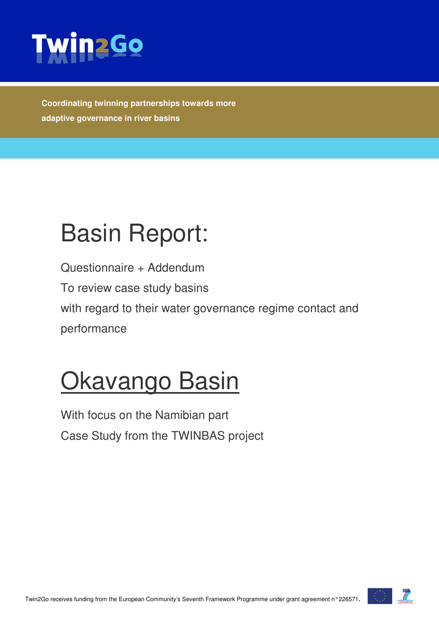

**Coordinating twinning partnerships towards more adaptive governance in river basins** 

# Basin Report:

Questionnaire + Addendum To review case study basins with regard to their water governance regime contact and performance

# **Okavango Basin**

With focus on the Namibian part Case Study from the TWINBAS project

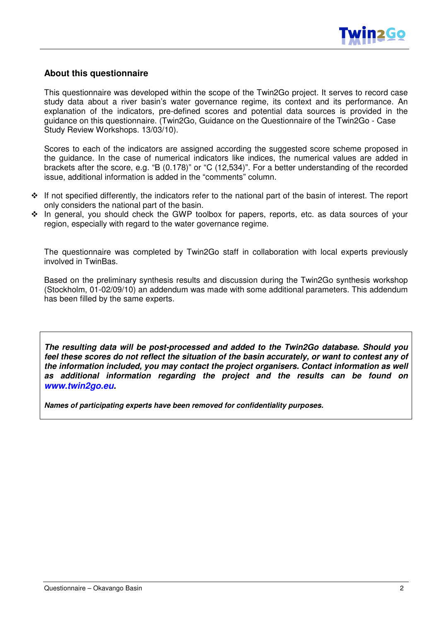

#### **About this questionnaire**

This questionnaire was developed within the scope of the Twin2Go project. It serves to record case study data about a river basin's water governance regime, its context and its performance. An explanation of the indicators, pre-defined scores and potential data sources is provided in the guidance on this questionnaire. (Twin2Go, Guidance on the Questionnaire of the Twin2Go - Case Study Review Workshops. 13/03/10).

Scores to each of the indicators are assigned according the suggested score scheme proposed in the guidance. In the case of numerical indicators like indices, the numerical values are added in brackets after the score, e.g. "B (0.178)" or "C (12,534)". For a better understanding of the recorded issue, additional information is added in the "comments" column.

- \* If not specified differently, the indicators refer to the national part of the basin of interest. The report only considers the national part of the basin.
- \* In general, you should check the GWP toolbox for papers, reports, etc. as data sources of your region, especially with regard to the water governance regime.

The questionnaire was completed by Twin2Go staff in collaboration with local experts previously involved in TwinBas.

Based on the preliminary synthesis results and discussion during the Twin2Go synthesis workshop (Stockholm, 01-02/09/10) an addendum was made with some additional parameters. This addendum has been filled by the same experts.

**The resulting data will be post-processed and added to the Twin2Go database. Should you feel these scores do not reflect the situation of the basin accurately, or want to contest any of the information included, you may contact the project organisers. Contact information as well as additional information regarding the project and the results can be found on www.twin2go.eu.** 

**Names of participating experts have been removed for confidentiality purposes.**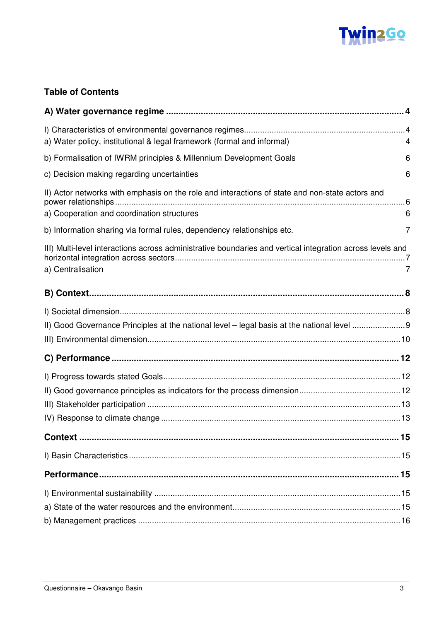

### **Table of Contents**

| a) Water policy, institutional & legal framework (formal and informal)<br>4                                                         |  |
|-------------------------------------------------------------------------------------------------------------------------------------|--|
| b) Formalisation of IWRM principles & Millennium Development Goals<br>6                                                             |  |
| c) Decision making regarding uncertainties<br>6                                                                                     |  |
| II) Actor networks with emphasis on the role and interactions of state and non-state actors and                                     |  |
| a) Cooperation and coordination structures<br>6                                                                                     |  |
| b) Information sharing via formal rules, dependency relationships etc.<br>7                                                         |  |
| III) Multi-level interactions across administrative boundaries and vertical integration across levels and<br>a) Centralisation<br>7 |  |
|                                                                                                                                     |  |
|                                                                                                                                     |  |
|                                                                                                                                     |  |
|                                                                                                                                     |  |
|                                                                                                                                     |  |
|                                                                                                                                     |  |
|                                                                                                                                     |  |
|                                                                                                                                     |  |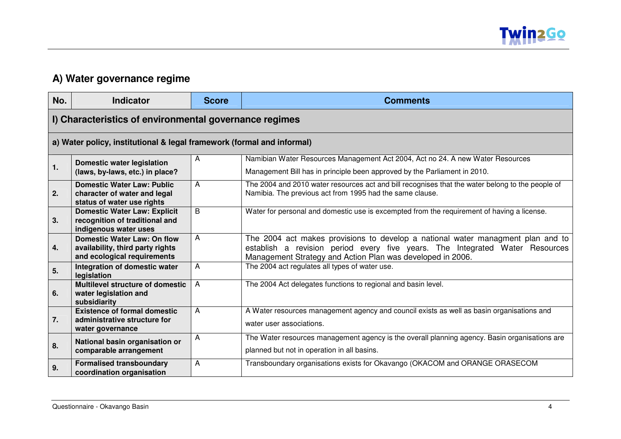

## **A) Water governance regime**

| No. | <b>Indicator</b>                                                                                      | <b>Score</b>   | <b>Comments</b>                                                                                                                                                                                                               |
|-----|-------------------------------------------------------------------------------------------------------|----------------|-------------------------------------------------------------------------------------------------------------------------------------------------------------------------------------------------------------------------------|
|     | I) Characteristics of environmental governance regimes                                                |                |                                                                                                                                                                                                                               |
|     | a) Water policy, institutional & legal framework (formal and informal)                                |                |                                                                                                                                                                                                                               |
| 1.  | <b>Domestic water legislation</b><br>(laws, by-laws, etc.) in place?                                  | A              | Namibian Water Resources Management Act 2004, Act no 24. A new Water Resources<br>Management Bill has in principle been approved by the Parliament in 2010.                                                                   |
| 2.  | <b>Domestic Water Law: Public</b><br>character of water and legal<br>status of water use rights       | A              | The 2004 and 2010 water resources act and bill recognises that the water belong to the people of<br>Namibia. The previous act from 1995 had the same clause.                                                                  |
| 3.  | <b>Domestic Water Law: Explicit</b><br>recognition of traditional and<br>indigenous water uses        | B              | Water for personal and domestic use is excempted from the requirement of having a license.                                                                                                                                    |
| 4.  | <b>Domestic Water Law: On flow</b><br>availability, third party rights<br>and ecological requirements | A              | The 2004 act makes provisions to develop a national water managment plan and to<br>establish a revision period every five years. The Integrated Water Resources<br>Management Strategy and Action Plan was developed in 2006. |
| 5.  | Integration of domestic water<br>legislation                                                          | A              | The 2004 act regulates all types of water use.                                                                                                                                                                                |
| 6.  | <b>Multilevel structure of domestic</b><br>water legislation and<br>subsidiarity                      | $\overline{A}$ | The 2004 Act delegates functions to regional and basin level.                                                                                                                                                                 |
| 7.  | <b>Existence of formal domestic</b><br>administrative structure for<br>water governance               | A              | A Water resources management agency and council exists as well as basin organisations and<br>water user associations.                                                                                                         |
| 8.  | National basin organisation or<br>comparable arrangement                                              | Α              | The Water resources management agency is the overall planning agency. Basin organisations are<br>planned but not in operation in all basins.                                                                                  |
| 9.  | <b>Formalised transboundary</b><br>coordination organisation                                          | A              | Transboundary organisations exists for Okavango (OKACOM and ORANGE ORASECOM                                                                                                                                                   |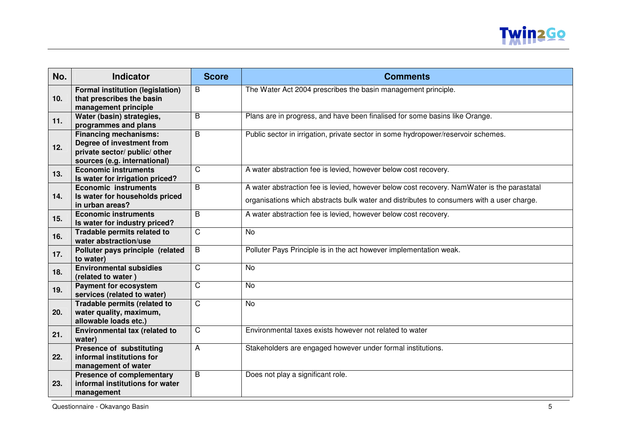

| No. | <b>Indicator</b>                                                                                                           | <b>Score</b>   | <b>Comments</b>                                                                                                                                                                         |
|-----|----------------------------------------------------------------------------------------------------------------------------|----------------|-----------------------------------------------------------------------------------------------------------------------------------------------------------------------------------------|
| 10. | <b>Formal institution (legislation)</b><br>that prescribes the basin<br>management principle                               | B              | The Water Act 2004 prescribes the basin management principle.                                                                                                                           |
| 11. | Water (basin) strategies,<br>programmes and plans                                                                          | B              | Plans are in progress, and have been finalised for some basins like Orange.                                                                                                             |
| 12. | <b>Financing mechanisms:</b><br>Degree of investment from<br>private sector/ public/ other<br>sources (e.g. international) | B              | Public sector in irrigation, private sector in some hydropower/reservoir schemes.                                                                                                       |
| 13. | <b>Economic instruments</b><br>Is water for irrigation priced?                                                             | $\mathsf{C}$   | A water abstraction fee is levied, however below cost recovery.                                                                                                                         |
| 14. | <b>Economic instruments</b><br>Is water for households priced<br>in urban areas?                                           | B              | A water abstraction fee is levied, however below cost recovery. NamWater is the parastatal<br>organisations which abstracts bulk water and distributes to consumers with a user charge. |
| 15. | <b>Economic instruments</b><br>Is water for industry priced?                                                               | B              | A water abstraction fee is levied, however below cost recovery.                                                                                                                         |
| 16. | Tradable permits related to<br>water abstraction/use                                                                       | $\mathsf{C}$   | <b>No</b>                                                                                                                                                                               |
| 17. | Polluter pays principle (related<br>to water)                                                                              | B              | Polluter Pays Principle is in the act however implementation weak.                                                                                                                      |
| 18. | <b>Environmental subsidies</b><br>(related to water)                                                                       | $\overline{C}$ | <b>No</b>                                                                                                                                                                               |
| 19. | <b>Payment for ecosystem</b><br>services (related to water)                                                                | $\mathsf{C}$   | <b>No</b>                                                                                                                                                                               |
| 20. | Tradable permits (related to<br>water quality, maximum,<br>allowable loads etc.)                                           | C              | <b>No</b>                                                                                                                                                                               |
| 21. | Environmental tax (related to<br>water)                                                                                    | $\mathsf C$    | Environmental taxes exists however not related to water                                                                                                                                 |
| 22. | <b>Presence of substituting</b><br>informal institutions for<br>management of water                                        | A              | Stakeholders are engaged however under formal institutions.                                                                                                                             |
| 23. | <b>Presence of complementary</b><br>informal institutions for water<br>management                                          | B              | Does not play a significant role.                                                                                                                                                       |

Questionnaire - Okavango Basin 5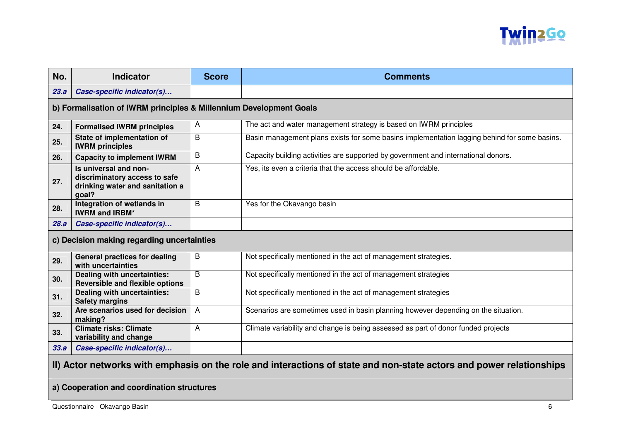

| No.  | <b>Indicator</b>                                                                                   | <b>Score</b> | <b>Comments</b>                                                                              |
|------|----------------------------------------------------------------------------------------------------|--------------|----------------------------------------------------------------------------------------------|
| 23.a | Case-specific indicator(s)                                                                         |              |                                                                                              |
|      | b) Formalisation of IWRM principles & Millennium Development Goals                                 |              |                                                                                              |
| 24.  | <b>Formalised IWRM principles</b>                                                                  | А            | The act and water management strategy is based on IWRM principles                            |
| 25.  | State of implementation of<br><b>IWRM</b> principles                                               | B            | Basin management plans exists for some basins implementation lagging behind for some basins. |
| 26.  | <b>Capacity to implement IWRM</b>                                                                  | B            | Capacity building activities are supported by government and international donors.           |
| 27.  | Is universal and non-<br>discriminatory access to safe<br>drinking water and sanitation a<br>goal? | A            | Yes, its even a criteria that the access should be affordable.                               |
| 28.  | Integration of wetlands in<br><b>IWRM and IRBM*</b>                                                | B            | Yes for the Okavango basin                                                                   |
| 28.a | Case-specific indicator(s)                                                                         |              |                                                                                              |
|      | c) Decision making regarding uncertainties                                                         |              |                                                                                              |
| 29.  | <b>General practices for dealing</b><br>with uncertainties                                         | B            | Not specifically mentioned in the act of management strategies.                              |
| 30.  | <b>Dealing with uncertainties:</b><br><b>Reversible and flexible options</b>                       | B            | Not specifically mentioned in the act of management strategies                               |
| 31.  | Dealing with uncertainties:<br><b>Safety margins</b>                                               | B            | Not specifically mentioned in the act of management strategies                               |
| 32.  | Are scenarios used for decision<br>making?                                                         | A            | Scenarios are sometimes used in basin planning however depending on the situation.           |
| 33.  | <b>Climate risks: Climate</b><br>variability and change                                            | A            | Climate variability and change is being assessed as part of donor funded projects            |
| 33.a | Case-specific indicator(s)                                                                         |              |                                                                                              |
|      |                                                                                                    |              |                                                                                              |

### **II) Actor networks with emphasis on the role and interactions of state and non-state actors and power relationships**

#### **a) Cooperation and coordination structures**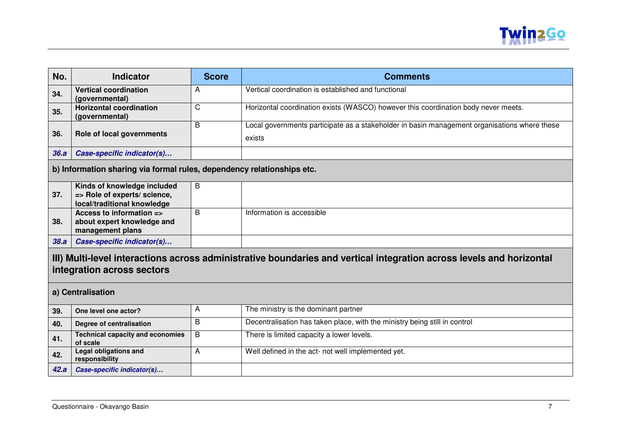

| No.  | <b>Indicator</b>                                                                                                                                   | <b>Score</b> | <b>Comments</b>                                                                                        |  |
|------|----------------------------------------------------------------------------------------------------------------------------------------------------|--------------|--------------------------------------------------------------------------------------------------------|--|
| 34.  | <b>Vertical coordination</b><br>(governmental)                                                                                                     | A            | Vertical coordination is established and functional                                                    |  |
| 35.  | <b>Horizontal coordination</b><br>(governmental)                                                                                                   | C            | Horizontal coordination exists (WASCO) however this coordination body never meets.                     |  |
| 36.  | Role of local governments                                                                                                                          | B            | Local governments participate as a stakeholder in basin management organisations where these<br>exists |  |
| 36.a | Case-specific indicator(s)                                                                                                                         |              |                                                                                                        |  |
|      | b) Information sharing via formal rules, dependency relationships etc.                                                                             |              |                                                                                                        |  |
| 37.  | Kinds of knowledge included<br>=> Role of experts/ science,<br>local/traditional knowledge                                                         | B            |                                                                                                        |  |
| 38.  | Access to information =><br>about expert knowledge and<br>management plans                                                                         | B            | Information is accessible                                                                              |  |
| 38.a | Case-specific indicator(s)                                                                                                                         |              |                                                                                                        |  |
|      | III) Multi-level interactions across administrative boundaries and vertical integration across levels and horizontal<br>integration across sectors |              |                                                                                                        |  |
|      | a) Centralisation                                                                                                                                  |              |                                                                                                        |  |
| 39.  | One level one actor?                                                                                                                               | A            | The ministry is the dominant partner                                                                   |  |
| 40.  | Degree of centralisation                                                                                                                           | B            | Decentralisation has taken place, with the ministry being still in control                             |  |
| 41.  | <b>Technical capacity and economies</b><br>of scale                                                                                                | B            | There is limited capacity a lower levels.                                                              |  |
| 42.  | <b>Legal obligations and</b><br>responsibility                                                                                                     | Α            | Well defined in the act- not well implemented yet.                                                     |  |
| 42.a | Case-specific indicator(s)                                                                                                                         |              |                                                                                                        |  |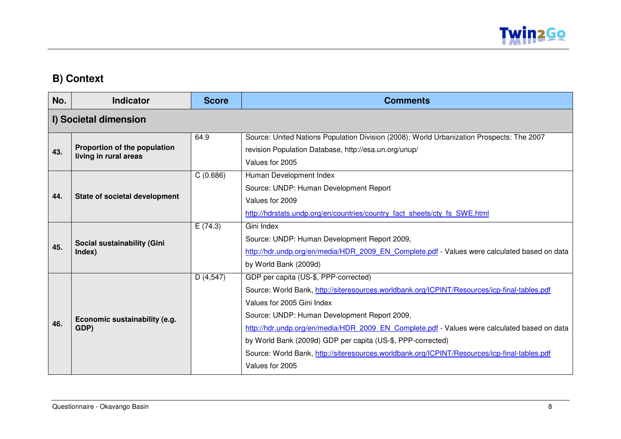

## **B) Context**

| No. | <b>Indicator</b>                                      | <b>Score</b> | <b>Comments</b>                                                                                                                                                                                                                                                                                                                                                                                                                                                                                       |
|-----|-------------------------------------------------------|--------------|-------------------------------------------------------------------------------------------------------------------------------------------------------------------------------------------------------------------------------------------------------------------------------------------------------------------------------------------------------------------------------------------------------------------------------------------------------------------------------------------------------|
|     | I) Societal dimension                                 |              |                                                                                                                                                                                                                                                                                                                                                                                                                                                                                                       |
| 43. | Proportion of the population<br>living in rural areas | 64.9         | Source: United Nations Population Division (2008): World Urbanization Prospects: The 2007<br>revision Population Database, http://esa.un.org/unup/<br>Values for 2005                                                                                                                                                                                                                                                                                                                                 |
| 44. | State of societal development                         | C(0.686)     | Human Development Index<br>Source: UNDP: Human Development Report<br>Values for 2009<br>http://hdrstats.undp.org/en/countries/country fact sheets/cty fs SWE.html                                                                                                                                                                                                                                                                                                                                     |
| 45. | Social sustainability (Gini<br>Index)                 | E(74.3)      | Gini Index<br>Source: UNDP: Human Development Report 2009,<br>http://hdr.undp.org/en/media/HDR 2009 EN Complete.pdf - Values were calculated based on data<br>by World Bank (2009d)                                                                                                                                                                                                                                                                                                                   |
| 46. | Economic sustainability (e.g.<br>GDP)                 | D(4,547)     | GDP per capita (US-\$, PPP-corrected)<br>Source: World Bank, http://siteresources.worldbank.org/ICPINT/Resources/icp-final-tables.pdf<br>Values for 2005 Gini Index<br>Source: UNDP: Human Development Report 2009,<br>http://hdr.undp.org/en/media/HDR 2009 EN Complete.pdf - Values were calculated based on data<br>by World Bank (2009d) GDP per capita (US-\$, PPP-corrected)<br>Source: World Bank, http://siteresources.worldbank.org/ICPINT/Resources/icp-final-tables.pdf<br>Values for 2005 |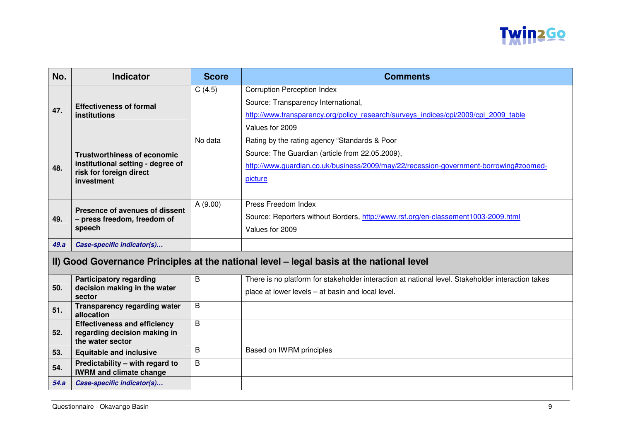

| No.                                                                                      | <b>Indicator</b>                                                  | <b>Score</b> | <b>Comments</b>                                                                                   |
|------------------------------------------------------------------------------------------|-------------------------------------------------------------------|--------------|---------------------------------------------------------------------------------------------------|
|                                                                                          |                                                                   | C(4.5)       | <b>Corruption Perception Index</b>                                                                |
|                                                                                          | <b>Effectiveness of formal</b>                                    |              | Source: Transparency International,                                                               |
| 47.                                                                                      | <b>institutions</b>                                               |              | http://www.transparency.org/policy research/surveys indices/cpi/2009/cpi 2009 table               |
|                                                                                          |                                                                   |              | Values for 2009                                                                                   |
|                                                                                          |                                                                   | No data      | Rating by the rating agency "Standards & Poor                                                     |
|                                                                                          | <b>Trustworthiness of economic</b>                                |              | Source: The Guardian (article from 22.05.2009),                                                   |
| 48.                                                                                      | institutional setting - degree of                                 |              | http://www.quardian.co.uk/business/2009/may/22/recession-government-borrowing#zoomed-             |
|                                                                                          | risk for foreign direct<br>investment                             |              | picture                                                                                           |
|                                                                                          |                                                                   |              |                                                                                                   |
|                                                                                          | Presence of avenues of dissent                                    | A (9.00)     | Press Freedom Index                                                                               |
| 49.                                                                                      | - press freedom, freedom of                                       |              | Source: Reporters without Borders, http://www.rsf.org/en-classement1003-2009.html                 |
|                                                                                          | speech                                                            |              | Values for 2009                                                                                   |
| 49.a                                                                                     | Case-specific indicator(s)                                        |              |                                                                                                   |
| II) Good Governance Principles at the national level - legal basis at the national level |                                                                   |              |                                                                                                   |
|                                                                                          | <b>Participatory regarding</b>                                    | B            | There is no platform for stakeholder interaction at national level. Stakeholder interaction takes |
| 50.                                                                                      | decision making in the water<br>sector                            |              | place at lower levels - at basin and local level.                                                 |
| 51.                                                                                      | <b>Transparency regarding water</b><br>allocation                 | B            |                                                                                                   |
|                                                                                          | <b>Effectiveness and efficiency</b>                               | B            |                                                                                                   |
| 52.                                                                                      | regarding decision making in<br>the water sector                  |              |                                                                                                   |
| 53.                                                                                      | <b>Equitable and inclusive</b>                                    | B            | Based on IWRM principles                                                                          |
| 54.                                                                                      | Predictability - with regard to<br><b>IWRM and climate change</b> | B            |                                                                                                   |
| 54.a                                                                                     | Case-specific indicator(s)                                        |              |                                                                                                   |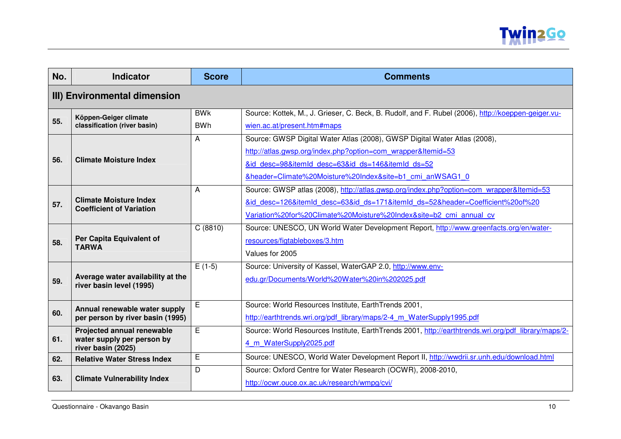

| No. | <b>Indicator</b>                                 | <b>Score</b> | <b>Comments</b>                                                                                     |  |
|-----|--------------------------------------------------|--------------|-----------------------------------------------------------------------------------------------------|--|
|     | III) Environmental dimension                     |              |                                                                                                     |  |
| 55. | Köppen-Geiger climate                            | <b>BWK</b>   | Source: Kottek, M., J. Grieser, C. Beck, B. Rudolf, and F. Rubel (2006), http://koeppen-geiger.vu-  |  |
|     | classification (river basin)                     | <b>BWh</b>   | wien.ac.at/present.htm#maps                                                                         |  |
|     |                                                  | A            | Source: GWSP Digital Water Atlas (2008), GWSP Digital Water Atlas (2008),                           |  |
| 56. | <b>Climate Moisture Index</b>                    |              | http://atlas.gwsp.org/index.php?option=com wrapper&Itemid=53                                        |  |
|     |                                                  |              | &id desc=98&itemId desc=63&id ds=146&itemId ds=52                                                   |  |
|     |                                                  |              | &header=Climate%20Moisture%20Index&site=b1 cmi anWSAG1 0                                            |  |
|     |                                                  | A            | Source: GWSP atlas (2008), http://atlas.gwsp.org/index.php?option=com_wrapper&Itemid=53             |  |
| 57. | <b>Climate Moisture Index</b>                    |              | &id desc=126&itemId desc=63&id ds=171&itemId ds=52&header=Coefficient%20of%20                       |  |
|     | <b>Coefficient of Variation</b>                  |              | Variation%20for%20Climate%20Moisture%20Index&site=b2 cmi annual cv                                  |  |
|     |                                                  | C(8810)      | Source: UNESCO, UN World Water Development Report, http://www.greenfacts.org/en/water-              |  |
| 58. | Per Capita Equivalent of                         |              | resources/figtableboxes/3.htm                                                                       |  |
|     | <b>TARWA</b>                                     |              | Values for 2005                                                                                     |  |
|     |                                                  | $E(1-5)$     | Source: University of Kassel, WaterGAP 2.0, http://www.env-                                         |  |
| 59. | Average water availability at the                |              | edu.gr/Documents/World%20Water%20in%202025.pdf                                                      |  |
|     | river basin level (1995)                         |              |                                                                                                     |  |
|     | Annual renewable water supply                    | E            | Source: World Resources Institute, EarthTrends 2001,                                                |  |
| 60. | per person by river basin (1995)                 |              | http://earthtrends.wri.org/pdf library/maps/2-4 m WaterSupply1995.pdf                               |  |
|     | Projected annual renewable                       | E            | Source: World Resources Institute, EarthTrends 2001, http://earthtrends.wri.org/pdf library/maps/2- |  |
| 61. | water supply per person by<br>river basin (2025) |              | 4 m WaterSupply2025.pdf                                                                             |  |
| 62. | <b>Relative Water Stress Index</b>               | E            | Source: UNESCO, World Water Development Report II, http://wwdrii.sr.unh.edu/download.html           |  |
|     |                                                  | D            | Source: Oxford Centre for Water Research (OCWR), 2008-2010,                                         |  |
| 63. | <b>Climate Vulnerability Index</b>               |              | http://ocwr.ouce.ox.ac.uk/research/wmpg/cvi/                                                        |  |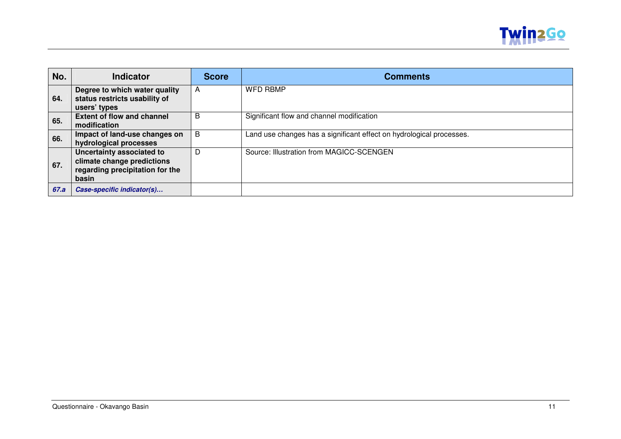

| No.  | <b>Indicator</b>                                                                                    | <b>Score</b> | <b>Comments</b>                                                      |
|------|-----------------------------------------------------------------------------------------------------|--------------|----------------------------------------------------------------------|
| 64.  | Degree to which water quality<br>status restricts usability of<br>users' types                      | A            | <b>WFD RBMP</b>                                                      |
| 65.  | <b>Extent of flow and channel</b><br>modification                                                   | B            | Significant flow and channel modification                            |
| 66.  | Impact of land-use changes on<br>hydrological processes                                             | B            | Land use changes has a significant effect on hydrological processes. |
| 67.  | Uncertainty associated to<br>climate change predictions<br>regarding precipitation for the<br>basin | D            | Source: Illustration from MAGICC-SCENGEN                             |
| 67.a | Case-specific indicator(s)                                                                          |              |                                                                      |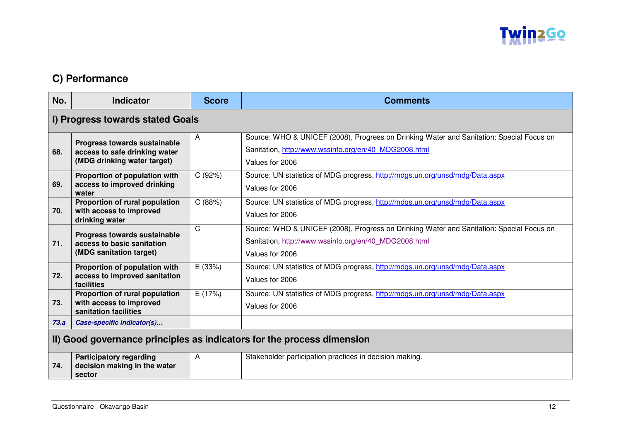

## **C) Performance**

| No.  | <b>Indicator</b>                                                                             | <b>Score</b> | <b>Comments</b>                                                                                                                                                      |
|------|----------------------------------------------------------------------------------------------|--------------|----------------------------------------------------------------------------------------------------------------------------------------------------------------------|
|      | I) Progress towards stated Goals                                                             |              |                                                                                                                                                                      |
| 68.  | Progress towards sustainable<br>access to safe drinking water<br>(MDG drinking water target) | A            | Source: WHO & UNICEF (2008), Progress on Drinking Water and Sanitation: Special Focus on<br>Sanitation, http://www.wssinfo.org/en/40_MDG2008.html<br>Values for 2006 |
| 69.  | Proportion of population with<br>access to improved drinking<br>water                        | C(92%)       | Source: UN statistics of MDG progress, http://mdgs.un.org/unsd/mdg/Data.aspx<br>Values for 2006                                                                      |
| 70.  | Proportion of rural population<br>with access to improved<br>drinking water                  | C(88%)       | Source: UN statistics of MDG progress, http://mdgs.un.org/unsd/mdg/Data.aspx<br>Values for 2006                                                                      |
| 71.  | Progress towards sustainable<br>access to basic sanitation<br>(MDG sanitation target)        | C            | Source: WHO & UNICEF (2008), Progress on Drinking Water and Sanitation: Special Focus on<br>Sanitation, http://www.wssinfo.org/en/40 MDG2008.html<br>Values for 2006 |
| 72.  | Proportion of population with<br>access to improved sanitation<br>facilities                 | E (33%)      | Source: UN statistics of MDG progress, http://mdgs.un.org/unsd/mdg/Data.aspx<br>Values for 2006                                                                      |
| 73.  | Proportion of rural population<br>with access to improved<br>sanitation facilities           | E(17%)       | Source: UN statistics of MDG progress, http://mdgs.un.org/unsd/mdg/Data.aspx<br>Values for 2006                                                                      |
| 73.a | Case-specific indicator(s)                                                                   |              |                                                                                                                                                                      |
|      | II) Good governance principles as indicators for the process dimension                       |              |                                                                                                                                                                      |
| 74.  | <b>Participatory regarding</b><br>decision making in the water<br>sector                     | A            | Stakeholder participation practices in decision making.                                                                                                              |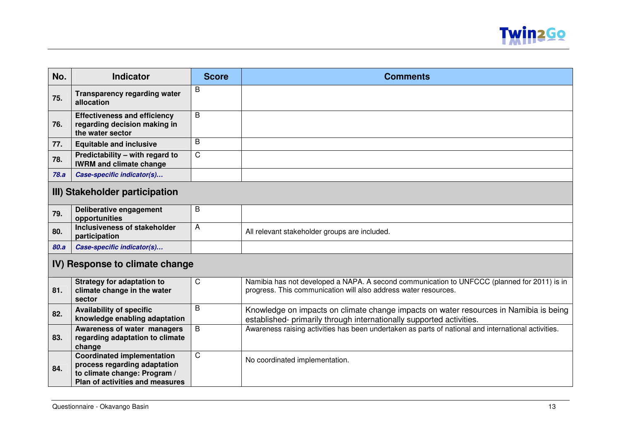

| No.  | <b>Indicator</b>                                                                                                                     | <b>Score</b> | <b>Comments</b>                                                                                                                                                |
|------|--------------------------------------------------------------------------------------------------------------------------------------|--------------|----------------------------------------------------------------------------------------------------------------------------------------------------------------|
| 75.  | <b>Transparency regarding water</b><br>allocation                                                                                    | B            |                                                                                                                                                                |
| 76.  | <b>Effectiveness and efficiency</b><br>regarding decision making in<br>the water sector                                              | B            |                                                                                                                                                                |
| 77.  | <b>Equitable and inclusive</b>                                                                                                       | B            |                                                                                                                                                                |
| 78.  | Predictability - with regard to<br><b>IWRM and climate change</b>                                                                    | $\mathsf C$  |                                                                                                                                                                |
| 78.a | Case-specific indicator(s)                                                                                                           |              |                                                                                                                                                                |
|      | III) Stakeholder participation                                                                                                       |              |                                                                                                                                                                |
| 79.  | Deliberative engagement<br>opportunities                                                                                             | B            |                                                                                                                                                                |
| 80.  | Inclusiveness of stakeholder<br>participation                                                                                        | A            | All relevant stakeholder groups are included.                                                                                                                  |
| 80.a | Case-specific indicator(s)                                                                                                           |              |                                                                                                                                                                |
|      | IV) Response to climate change                                                                                                       |              |                                                                                                                                                                |
| 81.  | <b>Strategy for adaptation to</b><br>climate change in the water<br>sector                                                           | C            | Namibia has not developed a NAPA. A second communication to UNFCCC (planned for 2011) is in<br>progress. This communication will also address water resources. |
| 82.  | <b>Availability of specific</b><br>knowledge enabling adaptation                                                                     | B            | Knowledge on impacts on climate change impacts on water resources in Namibia is being<br>established- primarily through internationally supported activities.  |
| 83.  | Awareness of water managers<br>regarding adaptation to climate<br>change                                                             | B            | Awareness raising activities has been undertaken as parts of national and international activities.                                                            |
| 84.  | <b>Coordinated implementation</b><br>process regarding adaptation<br>to climate change: Program /<br>Plan of activities and measures | C            | No coordinated implementation.                                                                                                                                 |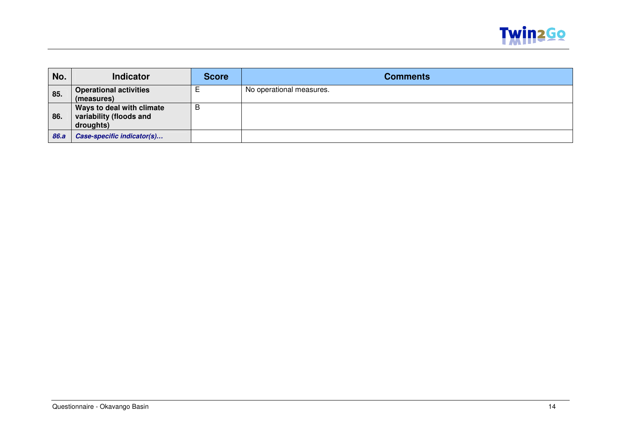

| No.  | <b>Indicator</b>              | Score | <b>Comments</b>          |
|------|-------------------------------|-------|--------------------------|
| 85.  | <b>Operational activities</b> |       | No operational measures. |
|      | (measures)                    |       |                          |
|      | Ways to deal with climate     | B     |                          |
| 86.  | variability (floods and       |       |                          |
|      | droughts)                     |       |                          |
| 86.a | Case-specific indicator(s)    |       |                          |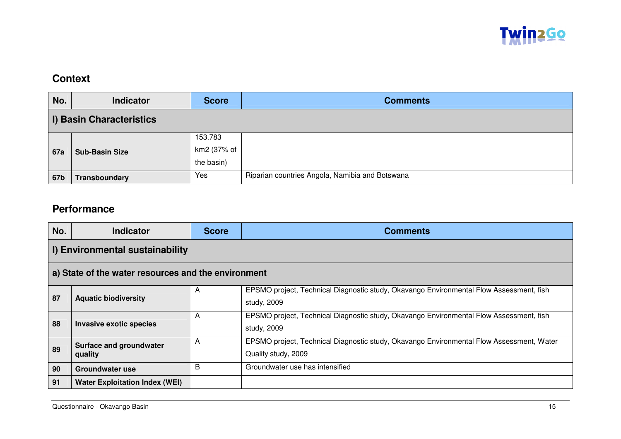

## **Context**

| No.                             | <b>Indicator</b>      | <b>Score</b> | <b>Comments</b>                                 |  |  |  |
|---------------------------------|-----------------------|--------------|-------------------------------------------------|--|--|--|
| <b>I) Basin Characteristics</b> |                       |              |                                                 |  |  |  |
| <b>67a</b>                      | <b>Sub-Basin Size</b> | 153.783      |                                                 |  |  |  |
|                                 |                       | km2 (37% of  |                                                 |  |  |  |
|                                 |                       | the basin)   |                                                 |  |  |  |
| 67b                             | Transboundary         | Yes          | Riparian countries Angola, Namibia and Botswana |  |  |  |

## **Performance**

| No.                                                 | <b>Indicator</b>                      | <b>Score</b> | <b>Comments</b>                                                                                                 |  |  |  |
|-----------------------------------------------------|---------------------------------------|--------------|-----------------------------------------------------------------------------------------------------------------|--|--|--|
| I) Environmental sustainability                     |                                       |              |                                                                                                                 |  |  |  |
| a) State of the water resources and the environment |                                       |              |                                                                                                                 |  |  |  |
| 87                                                  | <b>Aquatic biodiversity</b>           | A            | EPSMO project, Technical Diagnostic study, Okavango Environmental Flow Assessment, fish<br>study, 2009          |  |  |  |
| 88                                                  | <b>Invasive exotic species</b>        | A            | EPSMO project, Technical Diagnostic study, Okavango Environmental Flow Assessment, fish<br>study, 2009          |  |  |  |
| 89                                                  | Surface and groundwater<br>quality    | A            | EPSMO project, Technical Diagnostic study, Okavango Environmental Flow Assessment, Water<br>Quality study, 2009 |  |  |  |
| 90                                                  | Groundwater use                       | B            | Groundwater use has intensified                                                                                 |  |  |  |
| 91                                                  | <b>Water Exploitation Index (WEI)</b> |              |                                                                                                                 |  |  |  |